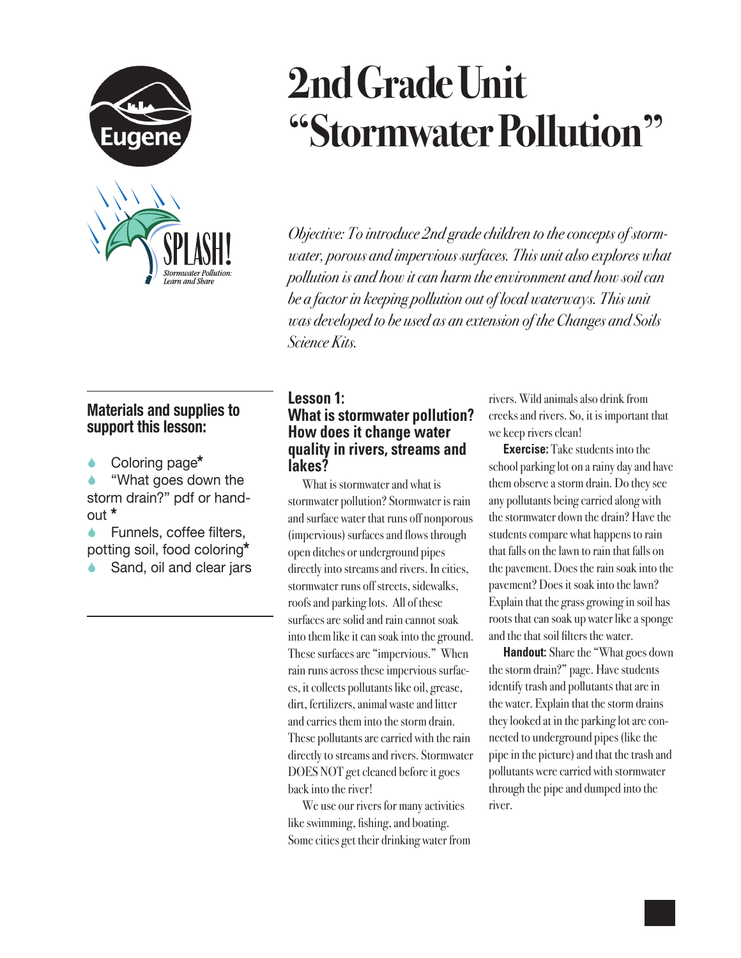

# **2nd Grade Unit "Stormwater Pollution"**

*Objective: To introduce 2nd grade children to the concepts of stormwater, porous and impervious surfaces. This unit also explores what pollution is and how it can harm the environment and how soil can be a factor in keeping pollution out of local waterways. This unit was developed to be used as an extension of the Changes and Soils Science Kits.* 

## **Materials and supplies to support this lesson:**

Coloring page**\***

 "What goes down the storm drain?" pdf or handout **\***

 Funnels, coffee filters, potting soil, food coloring**\***

Sand, oil and clear jars

#### **Lesson 1: What is stormwater pollution? How does it change water quality in rivers, streams and lakes?**

What is stormwater and what is stormwater pollution? Stormwater is rain and surface water that runs off nonporous (impervious) surfaces and flows through open ditches or underground pipes directly into streams and rivers. In cities, stormwater runs off streets, sidewalks, roofs and parking lots. All of these surfaces are solid and rain cannot soak into them like it can soak into the ground. These surfaces are "impervious." When rain runs across these impervious surfaces, it collects pollutants like oil, grease, dirt, fertilizers, animal waste and litter and carries them into the storm drain. These pollutants are carried with the rain directly to streams and rivers. Stormwater DOES NOT get cleaned before it goes back into the river!

We use our rivers for many activities like swimming, fishing, and boating. Some cities get their drinking water from rivers. Wild animals also drink from creeks and rivers. So, it is important that we keep rivers clean!

**Exercise:** Take students into the school parking lot on a rainy day and have them observe a storm drain. Do they see any pollutants being carried along with the stormwater down the drain? Have the students compare what happens to rain that falls on the lawn to rain that falls on the pavement. Does the rain soak into the pavement? Does it soak into the lawn? Explain that the grass growing in soil has roots that can soak up water like a sponge and the that soil filters the water.

**Handout:** Share the "What goes down the storm drain?" page. Have students identify trash and pollutants that are in the water. Explain that the storm drains they looked at in the parking lot are connected to underground pipes (like the pipe in the picture) and that the trash and pollutants were carried with stormwater through the pipe and dumped into the river.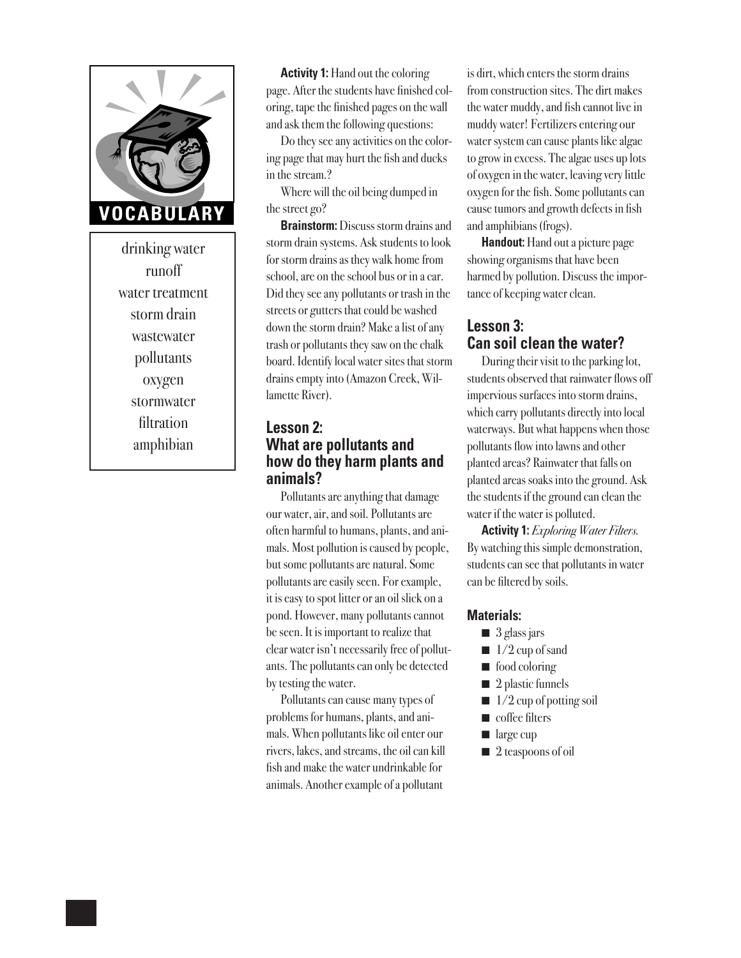

drinking water runoff water treatment storm drain wastewater pollutants oxygen stormwater filtration amphibian

**Activity 1:** Hand out the coloring page. After the students have finished coloring, tape the finished pages on the wall and ask them the following questions:

Do they see any activities on the coloring page that may hurt the fish and ducks in the stream.?

Where will the oil being dumped in the street go?

**Brainstorm:** Discuss storm drains and storm drain systems. Ask students to look for storm drains as they walk home from school, are on the school bus or in a car. Did they see any pollutants or trash in the streets or gutters that could be washed down the storm drain? Make a list of any trash or pollutants they saw on the chalk board. Identify local water sites that storm drains empty into (Amazon Creek, Willamette River).

#### **Lesson 2: What are pollutants and how do they harm plants and animals?**

Pollutants are anything that damage our water, air, and soil. Pollutants are often harmful to humans, plants, and animals. Most pollution is caused by people, but some pollutants are natural. Some pollutants are easily seen. For example, it is easy to spot litter or an oil slick on a pond. However, many pollutants cannot be seen. It is important to realize that clear water isn't necessarily free of pollutants. The pollutants can only be detected by testing the water.

Pollutants can cause many types of problems for humans, plants, and animals. When pollutants like oil enter our rivers, lakes, and streams, the oil can kill fish and make the water undrinkable for animals. Another example of a pollutant

is dirt, which enters the storm drains from construction sites. The dirt makes the water muddy, and fish cannot live in muddy water! Fertilizers entering our water system can cause plants like algae to grow in excess. The algae uses up lots of oxygen in the water, leaving very little oxygen for the fish. Some pollutants can cause tumors and growth defects in fish and amphibians (frogs).

**Handout:** Hand out a picture page showing organisms that have been harmed by pollution. Discuss the importance of keeping water clean.

#### **Lesson 3: Can soil clean the water?**

During their visit to the parking lot, students observed that rainwater flows off impervious surfaces into storm drains, which carry pollutants directly into local waterways. But what happens when those pollutants flow into lawns and other planted areas? Rainwater that falls on planted areas soaks into the ground. Ask the students if the ground can clean the water if the water is polluted.

**Activity 1:** *Exploring Water Filters.* By watching this simple demonstration, students can see that pollutants in water can be filtered by soils.

#### **Materials:**

- $\Box$  3 glass jars
- $\blacksquare$  1/2 cup of sand
- $\blacksquare$  food coloring
- $\blacksquare$  2 plastic funnels
- $\blacksquare$  1/2 cup of potting soil
- $\blacksquare$  coffee filters
- $\blacksquare$  large cup
- $\blacksquare$  2 teaspoons of oil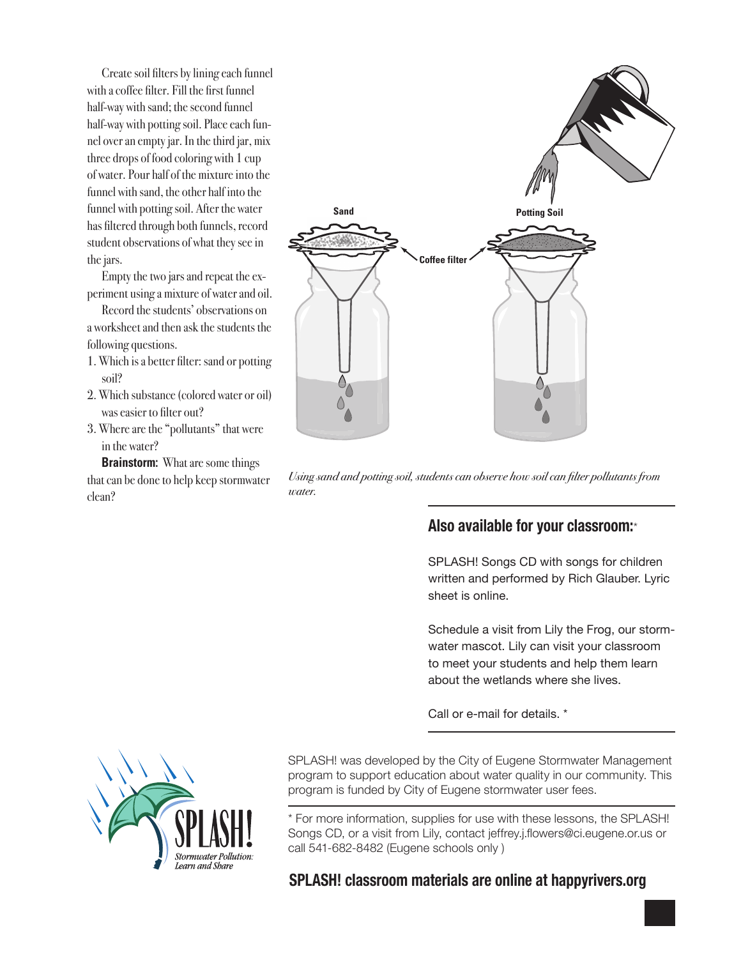Create soil filters by lining each funnel with a coffee filter. Fill the first funnel half-way with sand; the second funnel half-way with potting soil. Place each funnel over an empty jar. In the third jar, mix three drops of food coloring with 1 cup of water. Pour half of the mixture into the funnel with sand, the other half into the funnel with potting soil. After the water has filtered through both funnels, record student observations of what they see in the jars.

Empty the two jars and repeat the experiment using a mixture of water and oil.

Record the students' observations on a worksheet and then ask the students the following questions.

- 1. Which is a better filter: sand or potting soil?
- 2. Which substance (colored water or oil) was easier to filter out?
- 3. Where are the "pollutants" that were in the water?

**Brainstorm:** What are some things that can be done to help keep stormwater clean?



*Using sand and potting soil, students can observe how soil can filter pollutants from water.*

### **Also available for your classroom:**\*

SPLASH! Songs CD with songs for children written and performed by Rich Glauber. Lyric sheet is online.

Schedule a visit from Lily the Frog, our stormwater mascot. Lily can visit your classroom to meet your students and help them learn about the wetlands where she lives.

Call or e-mail for details. \*



SPLASH! was developed by the City of Eugene Stormwater Management program to support education about water quality in our community. This program is funded by City of Eugene stormwater user fees.

\* For more information, supplies for use with these lessons, the SPLASH! Songs CD, or a visit from Lily, contact jeffrey.j.flowers@ci.eugene.or.us or call 541-682-8482 (Eugene schools only )

#### **SPLASH! classroom materials are online at happyrivers.org**